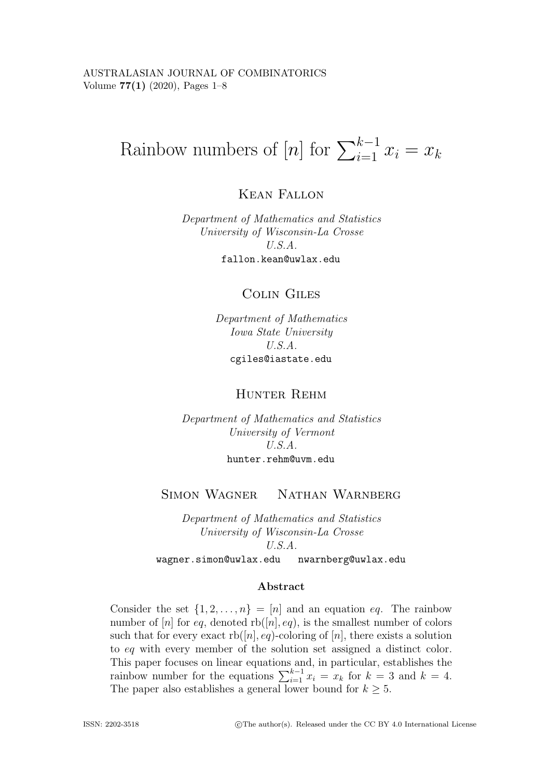# Rainbow numbers of  $[n]$  for  $\sum_{i=1}^{k-1} x_i = x_k$

**KEAN FALLON** Kean Fallon

*Department of Mathematics and Statistics University of Wisconsin-La Crosse U.S.A.* fallon.kean@uwlax.edu

## **COLIN GILES** Colin Giles

*Department of Mathematics Iowa State University U.S.A.* cgiles@iastate.edu

## HUNTER REHM Hunter Rehm

*Department of Mathematics and Statistics University of Vermont U.S.A.* hunter.rehm@uvm.edu

## **SIMON WAGNER** Simon Wagner Nathan Warnberg

*Department of Mathematics and Statistics University of Wisconsin-La Crosse U.S.A.* wagner.simon@uwlax.edu nwarnberg@uwlax.edu

#### **Abstract**

Consider the set  $\{1, 2, ..., n\} = [n]$  and an equation eq. The rainbow number of [n] for eq, denoted  $rb([n], eq)$ , is the smallest number of colors such that for every exact  $rb([n], eq)$ -coloring of [n], there exists a solution to eq with every member of the solution set assigned a distinct color. This paper focuses on linear equations and, in particular, establishes the rainbow number for the equations  $\sum_{i=1}^{k-1} x_i = x_k$  for  $k = 3$  and  $k = 4$ . The paper also establishes a general lower bound for  $k \geq 5$ .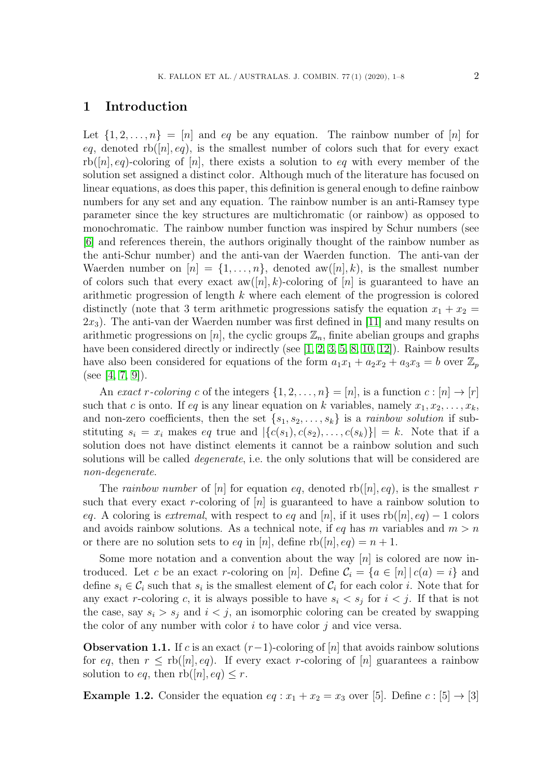# **1 Introduction**

Let  $\{1, 2, ..., n\} = [n]$  and eq be any equation. The rainbow number of  $[n]$  for eq, denoted  $rb([n], eq)$ , is the smallest number of colors such that for every exact  $rb([n], eq)$ -coloring of [n], there exists a solution to eq with every member of the solution set assigned a distinct color. Although much of the literature has focused on linear equations, as does this paper, this definition is general enough to define rainbow numbers for any set and any equation. The rainbow number is an anti-Ramsey type parameter since the key structures are multichromatic (or rainbow) as opposed to monochromatic. The rainbow number function was inspired by Schur numbers (see [\[6\]](#page-7-0) and references therein, the authors originally thought of the rainbow number as the anti-Schur number) and the anti-van der Waerden function. The anti-van der Waerden number on  $[n] = \{1, \ldots, n\}$ , denoted aw $([n], k)$ , is the smallest number of colors such that every exact  $aw([n], k)$ -coloring of  $[n]$  is guaranteed to have an arithmetic progression of length k where each element of the progression is colored distinctly (note that 3 term arithmetic progressions satisfy the equation  $x_1 + x_2 =$  $2x_3$ ). The anti-van der Waerden number was first defined in [\[11\]](#page-7-1) and many results on arithmetic progressions on [n], the cyclic groups  $\mathbb{Z}_n$ , finite abelian groups and graphs have been considered directly or indirectly (see [\[1,](#page-7-2) [2,](#page-7-3) [3,](#page-7-4) [5,](#page-7-5) [8,](#page-7-6) [10,](#page-7-7) [12\]](#page-7-8)). Rainbow results have also been considered for equations of the form  $a_1x_1 + a_2x_2 + a_3x_3 = b$  over  $\mathbb{Z}_p$ (see [\[4,](#page-7-9) [7,](#page-7-10) [9\]](#page-7-11)).

An *exact* r-coloring c of the integers  $\{1, 2, ..., n\} = [n]$ , is a function  $c : [n] \rightarrow [r]$ such that c is onto. If eq is any linear equation on k variables, namely  $x_1, x_2, \ldots, x_k$ , and non-zero coefficients, then the set  $\{s_1, s_2, \ldots, s_k\}$  is a *rainbow solution* if substituting  $s_i = x_i$  makes eq true and  $|\{c(s_1), c(s_2), \ldots, c(s_k)\}| = k$ . Note that if a solution does not have distinct elements it cannot be a rainbow solution and such solutions will be called *degenerate*, i.e. the only solutions that will be considered are *non-degenerate*.

The *rainbow number* of  $[n]$  for equation eq, denoted rb( $[n], eq$ ), is the smallest r such that every exact r-coloring of  $[n]$  is guaranteed to have a rainbow solution to eq. A coloring is *extremal*, with respect to eq and [n], if it uses  $rb([n], eq) - 1$  colors and avoids rainbow solutions. As a technical note, if eq has m variables and  $m > n$ or there are no solution sets to eq in [n], define  $rb([n], eq) = n + 1$ .

Some more notation and a convention about the way  $[n]$  is colored are now introduced. Let c be an exact r-coloring on [n]. Define  $\mathcal{C}_i = \{a \in [n] | c(a) = i\}$  and define  $s_i \in C_i$  such that  $s_i$  is the smallest element of  $C_i$  for each color i. Note that for any exact r-coloring c, it is always possible to have  $s_i < s_j$  for  $i < j$ . If that is not the case, say  $s_i > s_j$  and  $i < j$ , an isomorphic coloring can be created by swapping the color of any number with color  $i$  to have color  $j$  and vice versa.

<span id="page-1-0"></span>**Observation 1.1.** If c is an exact  $(r-1)$ -coloring of [n] that avoids rainbow solutions for eq, then  $r \leq$  rb([n], eq). If every exact r-coloring of [n] guarantees a rainbow solution to eq, then  $rb([n], eq) \leq r$ .

**Example 1.2.** Consider the equation  $eq: x_1 + x_2 = x_3$  over [5]. Define  $c: [5] \rightarrow [3]$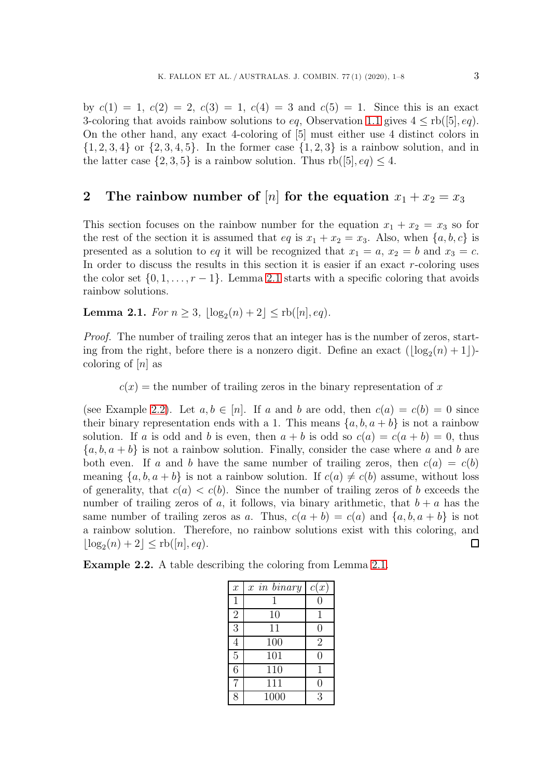by  $c(1) = 1$ ,  $c(2) = 2$ ,  $c(3) = 1$ ,  $c(4) = 3$  and  $c(5) = 1$ . Since this is an exact 3-coloring that avoids rainbow solutions to eq. Observation [1.1](#page-1-0) gives  $4 \leq rb([5], eq)$ . On the other hand, any exact 4-coloring of [5] must either use 4 distinct colors in  $\{1, 2, 3, 4\}$  or  $\{2, 3, 4, 5\}$ . In the former case  $\{1, 2, 3\}$  is a rainbow solution, and in the latter case  $\{2, 3, 5\}$  is a rainbow solution. Thus  $rb([5], eq) \leq 4$ .

# <span id="page-2-2"></span>**2** The rainbow number of [n] for the equation  $x_1 + x_2 = x_3$

This section focuses on the rainbow number for the equation  $x_1 + x_2 = x_3$  so for the rest of the section it is assumed that eq is  $x_1 + x_2 = x_3$ . Also, when  $\{a, b, c\}$  is presented as a solution to eq it will be recognized that  $x_1 = a, x_2 = b$  and  $x_3 = c$ . In order to discuss the results in this section it is easier if an exact r-coloring uses the color set  $\{0, 1, \ldots, r-1\}$ . Lemma [2.1](#page-2-0) starts with a specific coloring that avoids rainbow solutions.

<span id="page-2-0"></span>**Lemma 2.1.** *For*  $n \geq 3$ ,  $\lfloor \log_2(n) + 2 \rfloor \leq \text{rb}([n], eq)$ *.* 

*Proof.* The number of trailing zeros that an integer has is the number of zeros, starting from the right, before there is a nonzero digit. Define an exact  $(\log_2(n)+1)$ coloring of  $[n]$  as

 $c(x)$  = the number of trailing zeros in the binary representation of x

(see Example [2.2\)](#page-2-1). Let  $a, b \in [n]$ . If a and b are odd, then  $c(a) = c(b) = 0$  since their binary representation ends with a 1. This means  $\{a, b, a + b\}$  is not a rainbow solution. If a is odd and b is even, then  $a + b$  is odd so  $c(a) = c(a + b) = 0$ , thus  ${a, b, a + b}$  is not a rainbow solution. Finally, consider the case where a and b are both even. If a and b have the same number of trailing zeros, then  $c(a) = c(b)$ meaning  $\{a, b, a + b\}$  is not a rainbow solution. If  $c(a) \neq c(b)$  assume, without loss of generality, that  $c(a) < c(b)$ . Since the number of trailing zeros of b exceeds the number of trailing zeros of a, it follows, via binary arithmetic, that  $b + a$  has the same number of trailing zeros as a. Thus,  $c(a + b) = c(a)$  and  $\{a, b, a + b\}$  is not a rainbow solution. Therefore, no rainbow solutions exist with this coloring, and  $|\log_2(n)+2| \leq$ rb $([n], eq)$ .  $\Box$ 

<span id="page-2-1"></span>**Example 2.2.** A table describing the coloring from Lemma [2.1.](#page-2-0)

| $\overline{x}$ | $x$ in binary | c(x)             |
|----------------|---------------|------------------|
| $\mathbf{1}$   |               |                  |
| $\overline{2}$ | 10            | $\mathbf{1}$     |
| 3              | 11            | 0                |
| $\overline{4}$ | 100           | $\overline{2}$   |
| $\overline{5}$ | 101           | $\left( \right)$ |
| 6              | 110           | 1                |
|                | 111           | 0                |
| Ω              | 1000          | 3                |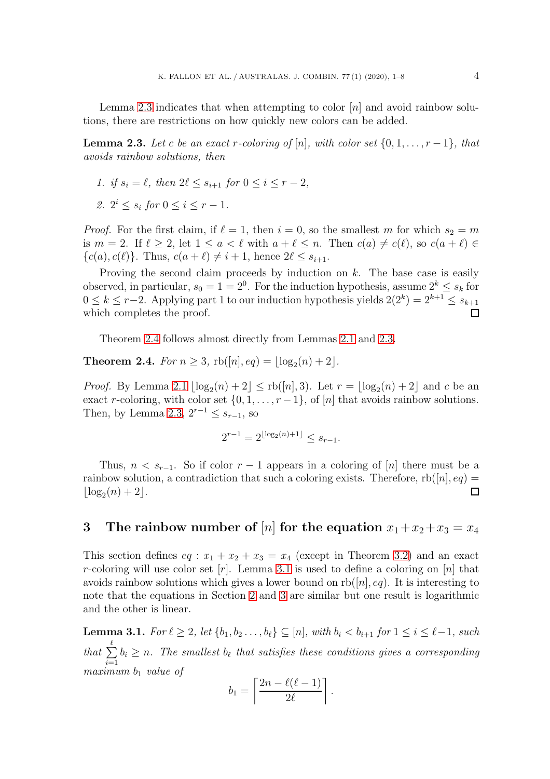Lemma [2.3](#page-3-0) indicates that when attempting to color  $[n]$  and avoid rainbow solutions, there are restrictions on how quickly new colors can be added.

<span id="page-3-0"></span>**Lemma 2.3.** Let c be an exact r-coloring of [n], with color set  $\{0, 1, \ldots, r-1\}$ , that *avoids rainbow solutions, then*

- *1. if*  $s_i = \ell$ *, then*  $2\ell \leq s_{i+1}$  *for*  $0 \leq i \leq r-2$ *,*
- *2.*  $2^i \leq s_i$  *for*  $0 \leq i \leq r-1$ *.*

*Proof.* For the first claim, if  $\ell = 1$ , then  $i = 0$ , so the smallest m for which  $s_2 = m$ is  $m = 2$ . If  $\ell \geq 2$ , let  $1 \leq a < \ell$  with  $a + \ell \leq n$ . Then  $c(a) \neq c(\ell)$ , so  $c(a + \ell) \in$  $\{c(a), c(\ell)\}\$ . Thus,  $c(a + \ell) \neq i + 1$ , hence  $2\ell \leq s_{i+1}$ .

Proving the second claim proceeds by induction on  $k$ . The base case is easily observed, in particular,  $s_0 = 1 = 2^0$ . For the induction hypothesis, assume  $2^k \leq s_k$  for  $0 \leq k \leq r-2$ . Applying part 1 to our induction hypothesis yields  $2(2^k)=2^{k+1} \leq s_{k+1}$ which completes the proof.

Theorem [2.4](#page-3-1) follows almost directly from Lemmas [2.1](#page-2-0) and [2.3.](#page-3-0)

<span id="page-3-1"></span>**Theorem 2.4.** *For*  $n \geq 3$ ,  $rb([n], eq) = |log_2(n) + 2|$ *.* 

*Proof.* By Lemma [2.1](#page-2-0)  $\lfloor \log_2(n) + 2 \rfloor \leq \text{rb}([n], 3)$ . Let  $r = \lfloor \log_2(n) + 2 \rfloor$  and c be an exact r-coloring, with color set  $\{0, 1, \ldots, r-1\}$ , of  $[n]$  that avoids rainbow solutions. Then, by Lemma [2.3,](#page-3-0)  $2^{r-1} \leq s_{r-1}$ , so

$$
2^{r-1} = 2^{\lfloor \log_2(n) + 1 \rfloor} \le s_{r-1}.
$$

Thus,  $n < s_{r-1}$ . So if color  $r-1$  appears in a coloring of [n] there must be a rainbow solution, a contradiction that such a coloring exists. Therefore,  $rb([n], eq) =$  $|\log_2(n)+2|$ .  $\Box$ 

# <span id="page-3-3"></span>**3** The rainbow number of [n] for the equation  $x_1 + x_2 + x_3 = x_4$

This section defines  $eq: x_1 + x_2 + x_3 = x_4$  (except in Theorem [3.2\)](#page-4-0) and an exact r-coloring will use color set  $[r]$ . Lemma [3.1](#page-3-2) is used to define a coloring on  $[n]$  that avoids rainbow solutions which gives a lower bound on  $rb([n], eq)$ . It is interesting to note that the equations in Section [2](#page-2-2) and [3](#page-3-3) are similar but one result is logarithmic and the other is linear.

<span id="page-3-2"></span> $\textbf{Lemma 3.1.}$  *For*  $\ell \geq 2$ *, let*  $\{b_1, b_2 \ldots, b_{\ell}\} \subseteq [n]$ *, with*  $b_i < b_{i+1}$  *for*  $1 \leq i \leq \ell-1$ *, such* that  $\sum^{\ell}$  $i=1$  $b_i \geq n$ . The smallest  $b_{\ell}$  that satisfies these conditions gives a corresponding  $maximum b<sub>1</sub> value of$ 

$$
b_1 = \left\lceil \frac{2n - \ell(\ell - 1)}{2\ell} \right\rceil.
$$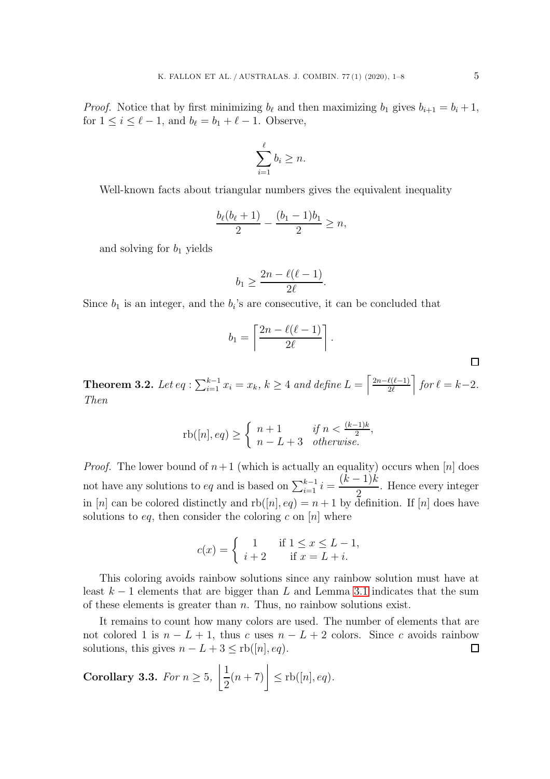*Proof.* Notice that by first minimizing  $b_{\ell}$  and then maximizing  $b_1$  gives  $b_{i+1} = b_i + 1$ , for  $1 \leq i \leq \ell - 1$ , and  $b_{\ell} = b_1 + \ell - 1$ . Observe,

$$
\sum_{i=1}^{\ell} b_i \geq n.
$$

Well-known facts about triangular numbers gives the equivalent inequality

$$
\frac{b_{\ell}(b_{\ell}+1)}{2} - \frac{(b_1-1)b_1}{2} \ge n,
$$

and solving for  $b_1$  yields

$$
b_1 \geq \frac{2n - \ell(\ell - 1)}{2\ell}.
$$

Since  $b_1$  is an integer, and the  $b_i$ 's are consecutive, it can be concluded that

$$
b_1 = \left\lceil \frac{2n - \ell(\ell - 1)}{2\ell} \right\rceil
$$

.

<span id="page-4-0"></span>**Theorem 3.2.** Let  $eq: \sum_{i=1}^{k-1} x_i = x_k$ ,  $k \geq 4$  and define  $L = \left[ \frac{2n-\ell(\ell-1)}{2\ell} \right]$  for  $\ell = k-2$ . *Then*

$$
rb([n], eq) \ge \begin{cases} n+1 & \text{if } n < \frac{(k-1)k}{2}, \\ n-L+3 & \text{otherwise.} \end{cases}
$$

*Proof.* The lower bound of  $n+1$  (which is actually an equality) occurs when [n] does not have any solutions to eq and is based on  $\sum_{i=1}^{k-1} i = \frac{(k-1)k}{2}$ . Hence every integer in [n] can be colored distinctly and  $rb([n], eq) = n + 1$  by definition. If [n] does have solutions to eq, then consider the coloring c on  $[n]$  where

$$
c(x) = \begin{cases} 1 & \text{if } 1 \le x \le L - 1, \\ i + 2 & \text{if } x = L + i. \end{cases}
$$

This coloring avoids rainbow solutions since any rainbow solution must have at least  $k-1$  elements that are bigger than L and Lemma [3.1](#page-3-2) indicates that the sum of these elements is greater than  $n$ . Thus, no rainbow solutions exist.

It remains to count how many colors are used. The number of elements that are not colored 1 is  $n - L + 1$ , thus c uses  $n - L + 2$  colors. Since c avoids rainbow solutions, this gives  $n - L + 3 \leq$  rb $([n], eq)$ .  $\Box$ 

<span id="page-4-1"></span>Corollary 3.3. For 
$$
n \ge 5
$$
,  $\left\lfloor \frac{1}{2}(n+7) \right\rfloor \le \text{rb}([n], eq)$ .

 $\Box$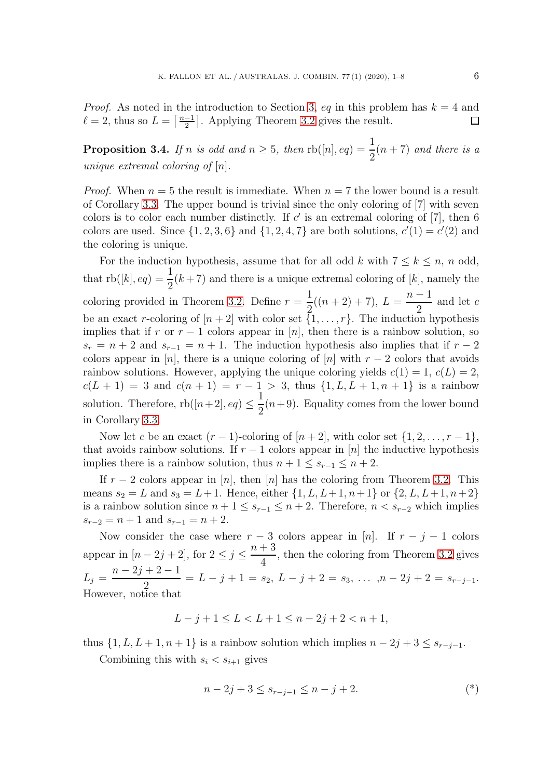*Proof.* As noted in the introduction to Section [3,](#page-3-3) eq in this problem has  $k = 4$  and  $\ell = 2$ , thus so  $L = \lceil \frac{n-1}{2} \rceil$ . Applying Theorem [3.2](#page-4-0) gives the result. □

<span id="page-5-1"></span>**Proposition 3.4.** *If n is odd and*  $n \geq 5$ *, then*  $\text{rb}([n], eq) = \frac{1}{2}(n + 7)$  *and there is a unique extremal coloring of* [n]*.*

*Proof.* When  $n = 5$  the result is immediate. When  $n = 7$  the lower bound is a result of Corollary [3.3.](#page-4-1) The upper bound is trivial since the only coloring of [7] with seven colors is to color each number distinctly. If  $c'$  is an extremal coloring of [7], then 6 colors are used. Since  $\{1, 2, 3, 6\}$  and  $\{1, 2, 4, 7\}$  are both solutions,  $c'(1) = c'(2)$  and the coloring is unique.

For the induction hypothesis, assume that for all odd k with  $7 \leq k \leq n$ , n odd, that  $\text{rb}([k], eq) = \frac{1}{2}(k+7)$  and there is a unique extremal coloring of [k], namely the coloring provided in Theorem [3.2.](#page-4-0) Define  $r = \frac{1}{2}((n+2)+7), L = \frac{n-1}{2}$  and let c be an exact r-coloring of  $[n+2]$  with color set  $\{1,\ldots,r\}$ . The induction hypothesis implies that if r or  $r - 1$  colors appear in [n], then there is a rainbow solution, so  $s_r = n + 2$  and  $s_{r-1} = n + 1$ . The induction hypothesis also implies that if  $r - 2$ colors appear in [n], there is a unique coloring of [n] with  $r-2$  colors that avoids rainbow solutions. However, applying the unique coloring yields  $c(1) = 1$ ,  $c(L) = 2$ ,  $c(L + 1) = 3$  and  $c(n + 1) = r - 1 > 3$ , thus  $\{1, L, L + 1, n + 1\}$  is a rainbow solution. Therefore,  $rb([n+2], eq) \le$ 1  $\frac{1}{2}(n+9)$ . Equality comes from the lower bound in Corollary [3.3.](#page-4-1)

Now let c be an exact  $(r-1)$ -coloring of  $[n+2]$ , with color set  $\{1, 2, \ldots, r-1\}$ , that avoids rainbow solutions. If  $r-1$  colors appear in [n] the inductive hypothesis implies there is a rainbow solution, thus  $n + 1 \leq s_{r-1} \leq n + 2$ .

If  $r-2$  colors appear in [n], then [n] has the coloring from Theorem [3.2.](#page-4-0) This means  $s_2 = L$  and  $s_3 = L+1$ . Hence, either  $\{1, L, L+1, n+1\}$  or  $\{2, L, L+1, n+2\}$ is a rainbow solution since  $n + 1 \leq s_{r-1} \leq n + 2$ . Therefore,  $n < s_{r-2}$  which implies  $s_{r-2} = n + 1$  and  $s_{r-1} = n + 2$ .

Now consider the case where  $r - 3$  colors appear in [n]. If  $r - j - 1$  colors appear in  $[n-2j+2]$ , for  $2 \leq j \leq$  $n + 3$  $\frac{1}{4}$ , then the coloring from Theorem [3.2](#page-4-0) gives  $L_j = \frac{n-2j+2-1}{2} = L - j + 1 = s_2, L - j + 2 = s_3, \ldots, n-2j+2 = s_{r-j-1}.$ However, notice that

$$
L - j + 1 \le L < L + 1 \le n - 2j + 2 < n + 1,
$$

thus  $\{1, L, L+1, n+1\}$  is a rainbow solution which implies  $n-2j+3 \leq s_{r-j-1}$ .

Combining this with  $s_i < s_{i+1}$  gives

<span id="page-5-0"></span>
$$
n - 2j + 3 \le s_{r-j-1} \le n - j + 2. \tag{*}
$$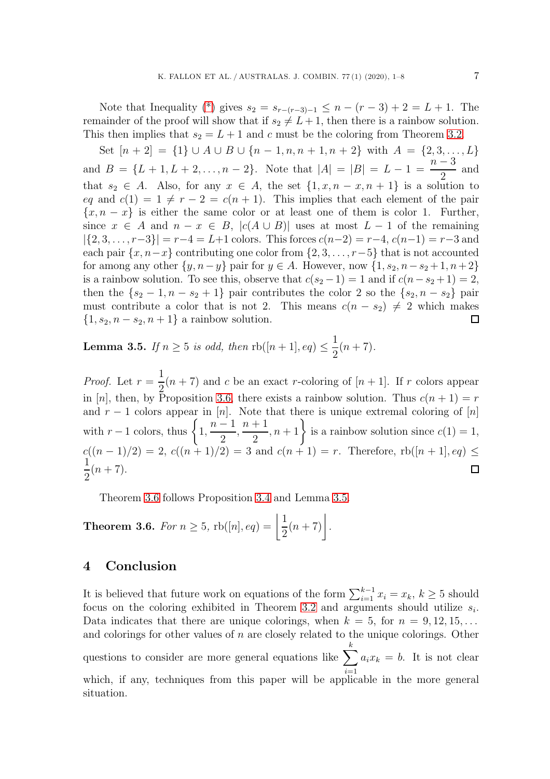Note that Inequality [\(\\*\)](#page-5-0) gives  $s_2 = s_{r-(r-3)-1} \leq n - (r-3) + 2 = L + 1$ . The remainder of the proof will show that if  $s_2 \neq L+1$ , then there is a rainbow solution. This then implies that  $s_2 = L + 1$  and c must be the coloring from Theorem [3.2.](#page-4-0)

Set  $[n+2] = \{1\} \cup A \cup B \cup \{n-1,n,n+1,n+2\}$  with  $A = \{2,3,...,L\}$  $n-3$ and  $B = \{L+1, L+2, \ldots, n-2\}$ . Note that  $|A| = |B| = L - 1 =$ and 2 that  $s_2 \in A$ . Also, for any  $x \in A$ , the set  $\{1, x, n-x, n+1\}$  is a solution to eq and  $c(1) = 1 \neq r - 2 = c(n + 1)$ . This implies that each element of the pair  ${x, n - x}$  is either the same color or at least one of them is color 1. Further, since  $x \in A$  and  $n - x \in B$ ,  $|c(A \cup B)|$  uses at most  $L - 1$  of the remaining  $|\{2, 3, \ldots, r-3\}| = r-4 = L+1$  colors. This forces  $c(n-2) = r-4$ ,  $c(n-1) = r-3$  and each pair  $\{x, n-x\}$  contributing one color from  $\{2, 3, \ldots, r-5\}$  that is not accounted for among any other  $\{y, n-y\}$  pair for  $y \in A$ . However, now  $\{1, s_2, n-s_2+1, n+2\}$ is a rainbow solution. To see this, observe that  $c(s_2 - 1) = 1$  and if  $c(n - s_2 + 1) = 2$ , then the  $\{s_2-1, n-s_2+1\}$  pair contributes the color 2 so the  $\{s_2, n-s_2\}$  pair must contribute a color that is not 2. This means  $c(n - s_2) \neq 2$  which makes  $\{1, s_2, n - s_2, n + 1\}$  a rainbow solution.  $\Box$ 

<span id="page-6-1"></span>**Lemma 3.5.** *If*  $n \geq 5$  *is odd, then*  $\text{rb}([n+1], eq) \leq$ 1  $\frac{1}{2}(n+7)$ .

*Proof.* Let  $r = \frac{1}{2}(n + 7)$  and c be an exact r-coloring of  $[n + 1]$ . If r colors appear in [n], then, by Proposition [3.6,](#page-6-0) there exists a rainbow solution. Thus  $c(n+1) = r$ and  $r - 1$  colors appear in [n]. Note that there is unique extremal coloring of [n] with  $r-1$  colors, thus  $\begin{cases} 1, \end{cases}$  $n-1$  $\left\{\frac{n+1}{2}, n+1\right\}$  is a rainbow solution since  $c(1) = 1$ ,  $\frac{1}{2}$ ,  $c((n-1)/2) = 2, c((n+1)/2) = 3$  and  $c(n+1) = r$ . Therefore,  $rb([n+1], eq) \le$ 1  $rac{1}{2}(n+7)$ .  $\Box$ 

Theorem [3.6](#page-6-0) follows Proposition [3.4](#page-5-1) and Lemma [3.5.](#page-6-1)

<span id="page-6-0"></span>**Theorem 3.6.** *For*  $n \geq 5$ ,  $rb([n], eq) = \frac{1}{2}$  $\frac{1}{2}(n+7)$ .

# **4 Conclusion**

It is believed that future work on equations of the form  $\sum_{i=1}^{k-1} x_i = x_k, k \ge 5$  should focus on the coloring exhibited in Theorem [3.2](#page-4-0) and arguments should utilize  $s_i$ . Data indicates that there are unique colorings, when  $k = 5$ , for  $n = 9, 12, 15, \ldots$ and colorings for other values of  $n$  are closely related to the unique colorings. Other questions to consider are more general equations like  $\sum$ k  $i=1$  $a_i x_k = b$ . It is not clear which, if any, techniques from this paper will be applicable in the more general situation.